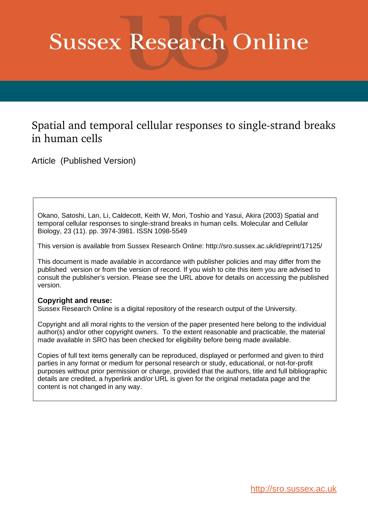# **Sussex Research Online**

## Spatial and temporal cellular responses to single-strand breaks in human cells

Article (Published Version)

Okano, Satoshi, Lan, Li, Caldecott, Keith W, Mori, Toshio and Yasui, Akira (2003) Spatial and temporal cellular responses to single-strand breaks in human cells. Molecular and Cellular Biology, 23 (11). pp. 3974-3981. ISSN 1098-5549

This version is available from Sussex Research Online: http://sro.sussex.ac.uk/id/eprint/17125/

This document is made available in accordance with publisher policies and may differ from the published version or from the version of record. If you wish to cite this item you are advised to consult the publisher's version. Please see the URL above for details on accessing the published version.

#### **Copyright and reuse:**

Sussex Research Online is a digital repository of the research output of the University.

Copyright and all moral rights to the version of the paper presented here belong to the individual author(s) and/or other copyright owners. To the extent reasonable and practicable, the material made available in SRO has been checked for eligibility before being made available.

Copies of full text items generally can be reproduced, displayed or performed and given to third parties in any format or medium for personal research or study, educational, or not-for-profit purposes without prior permission or charge, provided that the authors, title and full bibliographic details are credited, a hyperlink and/or URL is given for the original metadata page and the content is not changed in any way.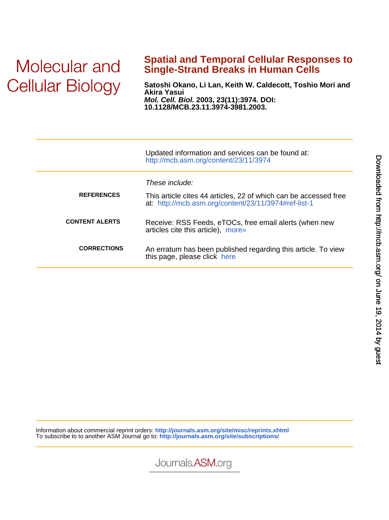## Molecular and **Cellular Biology**

## **Single-Strand Breaks in Human Cells Spatial and Temporal Cellular Responses to**

**10.1128/MCB.23.11.3974-3981.2003. Mol. Cell. Biol. 2003, 23(11):3974. DOI: Akira Yasui Satoshi Okano, Li Lan, Keith W. Caldecott, Toshio Mori and**

|                       | Updated information and services can be found at:<br>http://mcb.asm.org/content/23/11/3974                               |
|-----------------------|--------------------------------------------------------------------------------------------------------------------------|
|                       | These include:                                                                                                           |
| <b>REFERENCES</b>     | This article cites 44 articles, 22 of which can be accessed free<br>at: http://mcb.asm.org/content/23/11/3974#ref-list-1 |
| <b>CONTENT ALERTS</b> | Receive: RSS Feeds, eTOCs, free email alerts (when new<br>articles cite this article), more»                             |
| <b>CORRECTIONS</b>    | An erratum has been published regarding this article. To view<br>this page, please click here                            |

Information about commercial reprint orders: **<http://journals.asm.org/site/misc/reprints.xhtml>** To subscribe to to another ASM Journal go to: **<http://journals.asm.org/site/subscriptions/>**



Journals.ASM.org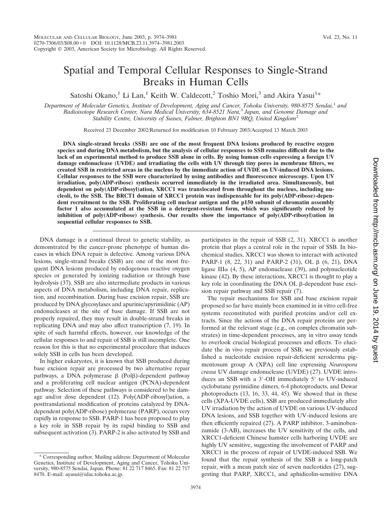## Spatial and Temporal Cellular Responses to Single-Strand Breaks in Human Cells

Satoshi Okano,<sup>1</sup> Li Lan,<sup>1</sup> Keith W. Caldecott,<sup>2</sup> Toshio Mori,<sup>3</sup> and Akira Yasui<sup>1\*</sup>

*Department of Molecular Genetics, Institute of Development, Aging and Cancer, Tohoku University, 980-8575 Sendai,*<sup>1</sup> *and Radioisotope Research Center, Nara Medical University, 634-8521 Nara,*<sup>3</sup> *Japan, and Genome Damage and Stability Centre, University of Sussex, Falmer, Brighton BN1 9RQ, United Kingdom*<sup>2</sup>

Received 23 December 2002/Returned for modification 10 February 2003/Accepted 13 March 2003

**DNA single-strand breaks (SSB) are one of the most frequent DNA lesions produced by reactive oxygen species and during DNA metabolism, but the analysis of cellular responses to SSB remains difficult due to the lack of an experimental method to produce SSB alone in cells. By using human cells expressing a foreign UV damage endonuclease (UVDE) and irradiating the cells with UV through tiny pores in membrane filters, we created SSB in restricted areas in the nucleus by the immediate action of UVDE on UV-induced DNA lesions. Cellular responses to the SSB were characterized by using antibodies and fluorescence microscopy. Upon UV irradiation, poly(ADP-ribose) synthesis occurred immediately in the irradiated area. Simultaneously, but dependent on poly(ADP-ribosyl)ation, XRCC1 was translocated from throughout the nucleus, including nucleoli, to the SSB. The BRCT1 domain of XRCC1 protein was indispensable for its poly(ADP-ribose)-dependent recruitment to the SSB. Proliferating cell nuclear antigen and the p150 subunit of chromatin assembly factor 1 also accumulated at the SSB in a detergent-resistant form, which was significantly reduced by inhibition of poly(ADP-ribose) synthesis. Our results show the importance of poly(ADP-ribosyl)ation in sequential cellular responses to SSB.**

DNA damage is a continual threat to genetic stability, as demonstrated by the cancer-prone phenotype of human diseases in which DNA repair is defective. Among various DNA lesions, single-strand breaks (SSB) are one of the most frequent DNA lesions produced by endogenous reactive oxygen species or generated by ionizing radiation or through base hydrolysis (37). SSB are also intermediate products in various aspects of DNA metabolism, including DNA repair, replication, and recombination. During base excision repair, SSB are produced by DNA glycosylases and apurinic/apyrimidinic (AP) endonucleases at the site of base damage. If SSB are not properly repaired, they may result in double-strand breaks in replicating DNA and may also affect transcription (7, 19). In spite of such harmful effects, however, our knowledge of the cellular responses to and repair of SSB is still incomplete. One reason for this is that no experimental procedure that induces solely SSB in cells has been developed.

In higher eukaryotes, it is known that SSB produced during base excision repair are processed by two alternative repair pathways, a DNA polymerase  $\beta$  (Pol $\beta$ )-dependent pathway and a proliferating cell nuclear antigen (PCNA)-dependent pathway. Selection of these pathways is considered to be damage and/or dose dependent (12). Poly(ADP-ribosyl)ation, a posttranslational modification of proteins catalyzed by DNAdependent poly(ADP-ribose) polymerase (PARP), occurs very rapidly in response to SSB. PARP-1 has been proposed to play a key role in SSB repair by its rapid binding to SSB and subsequent activation (3). PARP-2 is also activated by SSB and

participates in the repair of SSB (2, 31). XRCC1 is another protein that plays a central role in the repair of SSB. In biochemical studies, XRCC1 was shown to interact with activated PARP-1  $(8, 22, 31)$  and PARP-2  $(31)$ , OL  $\beta$   $(6, 21)$ , DNA ligase III $\alpha$  (4, 5), AP endonuclease (39), and polynucleotide kinase (42). By these interactions, XRCC1 is thought to play a key role in coordinating the DNA OL β-dependent base excision repair pathway and SSB repair (7).

The repair mechanisms for SSB and base excision repair proposed so far have mainly been examined in in vitro cell-free systems reconstituted with purified proteins and/or cell extracts. Since the actions of the DNA repair proteins are performed at the relevant stage (e.g., on complex chromatin substrates) in time-dependent processes, any in vitro assay tends to overlook crucial biological processes and effects. To elucidate the in vivo repair process of SSB, we previously established a nucleotide excision repair-deficient xeroderma pigmentosum group A (XPA) cell line expressing *Neurospora crassa* UV damage endonuclease (UVDE) (27). UVDE introduces an SSB with a 3'-OH immediately 5' to UV-induced cyclobutane pyrimidine dimers, 6-4 photoproducts, and Dewar photoproducts (13, 16, 33, 44, 45). We showed that in these cells (XPA-UVDE cells), SSB are produced immediately after UV irradiation by the action of UVDE on various UV-induced DNA lesions, and SSB together with UV-induced lesions are then efficiently repaired (27). A PARP inhibitor, 3-aminobenzamide (3-AB), increases the UV sensitivity of the cells, and XRCC1-deficient Chinese hamster cells harboring UVDE are highly UV sensitive, suggesting the involvement of PARP and XRCC1 in the process of repair of UVDE-induced SSB. We found that the repair synthesis of the SSB is a long-patch repair, with a mean patch size of seven nucleotides (27), suggesting that PARP, XRCC1, and aphidicolin-sensitive DNA

<sup>\*</sup> Corresponding author. Mailing address: Department of Molecular Genetics, Institute of Development, Aging and Cancer, Tohoku University, 980-8575 Sendai, Japan. Phone: 81 22 717 8465. Fax: 81 22 717 8470. E-mail: ayasui@idac.tohoku.ac.jp.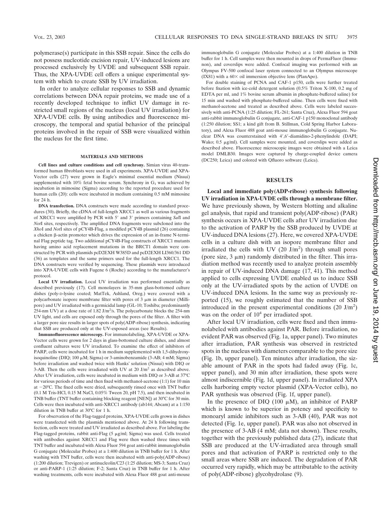polymerase(s) participate in this SSB repair. Since the cells do not possess nucleotide excision repair, UV-induced lesions are processed exclusively by UVDE and subsequent SSB repair. Thus, the XPA-UVDE cell offers a unique experimental system with which to create SSB by UV irradiation.

In order to analyze cellular responses to SSB and dynamic correlations between DNA repair proteins, we made use of a recently developed technique to inflict UV damage in restricted small regions of the nucleus (local UV irradiation) for XPA-UVDE cells. By using antibodies and fluorescence microscopy, the temporal and spatial behavior of the principal proteins involved in the repair of SSB were visualized within the nucleus for the first time.

#### **MATERIALS AND METHODS**

**Cell lines and culture conditions and cell synchrony.** Simian virus 40-transformed human fibroblasts were used in all experiments. XPA-UVDE and XPA-Vector cells (27) were grown in Eagle's minimal essential medium (Nissui) supplemented with 10% fetal bovine serum. Synchrony in  $G_1$  was achieved by incubation in mimosine (Sigma) according to the reported procedure used for human cells (20): cells were incubated in medium containing 0.5 mM mimosine for 24 h.

**DNA transfection.** DNA constructs were made according to standard procedures (30). Briefly, the cDNA of full-length XRCC1 as well as various fragments of XRCC1 were amplified by PCR with 5' and 3' primers containing *SalI* and *Not*I sites, respectively. The amplified DNA fragments were subcloned into the *Xho*I and *Not*I sites of pCY4B-Flag, a modified pCY4B plasmid (26) containing a chicken  $\beta$ -actin promoter which drives the expression of an in-frame N-terminal Flag peptide tag. Two additional pCY4B-Flag constructs of XRCC1 mutants having amino acid replacement mutations in the BRCT1 domain were constructed by PCR with plasmids pcD2EXH W385D and pcD2EXH LI360/361 DD (36) as templates and the same primers used for the full-length XRCC1. The DNA constructs were verified by sequencing. These plasmids were introduced into XPA-UVDE cells with Fugene 6 (Roche) according to the manufacturer's protocol.

**Local UV irradiation.** Local UV irradiation was performed essentially as described previously (17). Cell monolayers in 35-mm glass-bottomed culture dishes (poly-D-lysine coated; MatTek, Ashland, Oreg.) were covered with a polycarbonate isopore membrane filter with pores of  $3 \mu m$  in diameter (Millipore) and UV irradiated with a germicidal lamp (GL-10; Toshiba; predominantly 254-nm UV) at a dose rate of  $1.82$  J/m<sup>2</sup>/s. The polycarbonate blocks the 254-nm UV light, and cells are exposed only through the pores of the filter. A filter with a larger pore size results in larger spots of poly(ADP-ribose) synthesis, indicating that SSB are produced only at the UV-exposed areas (see Results).

**Immunofluorescence microscopy.** For immunolabeling, XPA-UVDE or XPA-Vector cells were grown for 2 days in glass-bottomed culture dishes, and almost confluent cultures were UV irradiated. To examine the effect of inhibitors of PARP, cells were incubated for 1 h in medium supplemented with 1,5-dihydroxyisoquinoline (DIQ; 100  $\mu$ M; Sigma) or 3-aminobenzamide (3-AB; 4 mM; Sigma) before irradiation and washed twice with Hanks' solution (Nissui) with DIQ or 3-AB. Then the cells were irradiated with UV at 20  $J/m<sup>2</sup>$  as described above. After UV irradiation, cells were incubated in medium with DIQ or 3-AB at 37°C for various periods of time and then fixed with methanol-acetone (1:1) for 10 min at  $-20^{\circ}$ C. The fixed cells were dried, subsequently rinsed once with TNT buffer (0.1 M Tris-HCl, 0.15 M NaCl, 0.05% Tween 20, pH 7.5), and then incubated in TNB buffer (TNT buffer containing blocking reagent [NEN]) at 30°C for 30 min. Cells were then incubated with anti-XRCC1 antibody (ab144; Abcam) at a 1:150 dilution in TNB buffer at 30°C for 1 h.

For observation of the Flag-tagged proteins, XPA-UVDE cells grown in dishes were transfected with the plasmids mentioned above. At 24 h following transfection, cells were treated and UV irradiated as described above. For labeling the Flag-tagged proteins, rabbit anti-Flag  $(5 \mu g/ml; Sigma)$  was used. Cells treated with antibodies against XRCC1 and Flag were then washed three times with TNT buffer and incubated with Alexa Fluor 594 goat anti-rabbit immunoglobulin G conjugate (Molecular Probes) at a 1:400 dilution in TNB buffer for 1 h. After washing with TNT buffer, cells were then incubated with anti-poly(ADP-ribose) (1:200 dilution; Trevigen) or antinucleolin/C23 (1:25 dilution; MS-3; Santa Cruz) or anti-PARP-1 (1:25 dilution; F-2; Santa Cruz) in TNB buffer for 1 h. After washing treatments, cells were incubated with Alexa Fluor 488 goat anti-mouse

immunoglobulin G conjugate (Molecular Probes) at a 1:400 dilution in TNB buffer for 1 h. Cell samples were then mounted in drops of PermaFluor (Immunon), and coverslips were added. Confocal imaging was performed with an Olympus FV-500 confocal laser system connected to an Olympus microscope (IX81) with a  $60 \times$  oil immersion objective lens (PlanApo).

For double staining of PCNA and CAF-1 p150, cells were further treated before fixation with ice-cold detergent solution (0.5% Triton X-100, 0.2 mg of EDTA per ml, and 1% bovine serum albumin in phosphate-buffered saline) for 15 min and washed with phosphate-buffered saline. Then cells were fixed with methanol-acetone and treated as described above. Cells were labeled successively with anti-PCNA (1:25 dilution; FL-261; Santa Cruz), Alexa Fluor 594 goat anti-rabbit immunoglobulin G conjugate, anti-CAF-1 p150 monoclonal antibody (1:250 dilution; SS1; a kind gift from B. Stillman, Cold Spring Harbor Laboratory), and Alexa Fluor 488 goat anti-mouse immunoglobulin G conjugate. Nuclear DNA was counterstained with 4',6'-diamidino-2-phenylindole (DAPI; Wako; 0.5 µg/ml). Cell samples were mounted, and coverslips were added as described above. Fluorescence microscopic images were obtained with a Leica model DMLB30. Images were captured by charge-coupled device camera (DC250; Leica) and colored with Qfluoro software (Leica).

#### **RESULTS**

**Local and immediate poly(ADP-ribose) synthesis following UV irradiation in XPA-UVDE cells through a membrane filter.** We have previously shown, by Western blotting and alkaline gel analysis, that rapid and transient poly(ADP-ribose) (PAR) synthesis occurs in XPA-UVDE cells after UV irradiation due to the activation of PARP by the SSB produced by UVDE at UV-induced DNA lesions (27). Here, we covered XPA-UVDE cells in a culture dish with an isopore membrane filter and irradiated the cells with UV (20  $J/m<sup>2</sup>$ ) through small pores (pore size,  $3 \mu m$ ) randomly distributed in the filter. This irradiation method was recently used to analyze protein assembly in repair of UV-induced DNA damage (17, 41). This method applied to cells expressing UVDE enabled us to induce SSB only at the UV-irradiated spots by the action of UVDE on UV-induced DNA lesions. In the same way as previously reported (15), we roughly estimated that the number of SSB introduced in the present experimental conditions  $(20 \text{ J/m}^2)$ was on the order of  $10<sup>4</sup>$  per irradiated spot.

After local UV irradiation, cells were fixed and then immunolabeled with antibodies against PAR. Before irradiation, no evident PAR was observed (Fig. 1a, upper panel). Two minutes after irradiation, PAR synthesis was observed in restricted spots in the nucleus with diameters comparable to the pore size (Fig. 1b, upper panel). Ten minutes after irradiation, the sizable amount of PAR in the spots had faded away (Fig. 1c, upper panel), and 30 min after irradiation, these spots were almost indiscernible (Fig. 1d, upper panel). In irradiated XPA cells harboring empty vector plasmid (XPA-Vector cells), no PAR synthesis was observed (Fig. 1f, upper panel).

In the presence of DIQ (100  $\mu$ M), an inhibitor of PARP which is known to be superior in potency and specificity to monoaryl amide inhibitors such as 3-AB (40), PAR was not detected (Fig. 1e, upper panel). PAR was also not observed in the presence of 3-AB (4 mM; data not shown). These results, together with the previously published data (27), indicate that SSB are produced at the UV-irradiated area through small pores and that activation of PARP is restricted only to the small areas where SSB are induced. The degradation of PAR occurred very rapidly, which may be attributable to the activity of poly(ADP-ribose) glycohydrolase (9).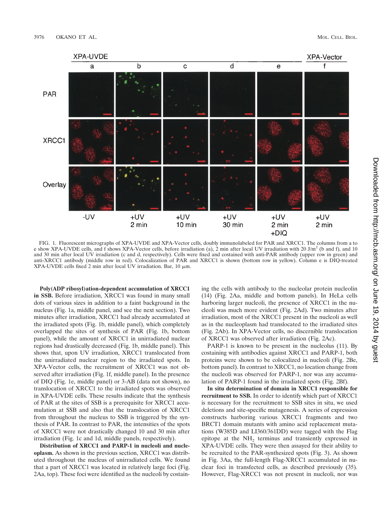

FIG. 1. Fluorescent micrographs of XPA-UVDE and XPA-Vector cells, doubly immunolabeled for PAR and XRCC1. The columns from a to e show XPA-UVDE cells, and f shows XPA-Vector cells, before irradiation (a), 2 min after local UV irradiation with 20 J/m<sup>2</sup> (b and f), and 10 and 30 min after local UV irradiation (c and d, respectively). Cells were fixed and costained with anti-PAR antibody (upper row in green) and anti-XRCC1 antibody (middle row in red). Colocalization of PAR and XRCC1 is shown (bottom row in yellow). Column e is DIQ-treated XPA-UVDE cells fixed 2 min after local UV irradiation. Bar,  $10 \mu m$ .

**Poly(ADP ribosyl)ation-dependent accumulation of XRCC1 in SSB.** Before irradiation, XRCC1 was found in many small dots of various sizes in addition to a faint background in the nucleus (Fig. 1a, middle panel, and see the next section). Two minutes after irradiation, XRCC1 had already accumulated at the irradiated spots (Fig. 1b, middle panel), which completely overlapped the sites of synthesis of PAR (Fig. 1b, bottom panel), while the amount of XRCC1 in unirradiated nuclear regions had drastically decreased (Fig. 1b, middle panel). This shows that, upon UV irradiation, XRCC1 translocated from the unirradiated nuclear region to the irradiated spots. In XPA-Vector cells, the recruitment of XRCC1 was not observed after irradiation (Fig. 1f, middle panel). In the presence of DIQ (Fig. 1e, middle panel) or 3-AB (data not shown), no translocation of XRCC1 to the irradiated spots was observed in XPA-UVDE cells. These results indicate that the synthesis of PAR at the sites of SSB is a prerequisite for XRCC1 accumulation at SSB and also that the translocation of XRCC1 from throughout the nucleus to SSB is triggered by the synthesis of PAR. In contrast to PAR, the intensities of the spots of XRCC1 were not drastically changed 10 and 30 min after irradiation (Fig. 1c and 1d, middle panels, respectively).

**Distribution of XRCC1 and PARP-1 in nucleoli and nucleoplasm.** As shown in the previous section, XRCC1 was distributed throughout the nucleus of unirradiated cells. We found that a part of XRCC1 was located in relatively large foci (Fig. 2Aa, top). These foci were identified as the nucleoli by costaining the cells with antibody to the nucleolar protein nucleolin (14) (Fig. 2Aa, middle and bottom panels). In HeLa cells harboring larger nucleoli, the presence of XRCC1 in the nucleoli was much more evident (Fig. 2Ad). Two minutes after irradiation, most of the XRCC1 present in the nucleoli as well as in the nucleoplasm had translocated to the irradiated sites (Fig. 2Ab). In XPA-Vector cells, no discernible translocation of XRCC1 was observed after irradiation (Fig. 2Ac).

PARP-1 is known to be present in the nucleolus (11). By costaining with antibodies against XRCC1 and PARP-1, both proteins were shown to be colocalized in nucleoli (Fig. 2Be, bottom panel). In contrast to XRCC1, no location change from the nucleoli was observed for PARP-1, nor was any accumulation of PARP-1 found in the irradiated spots (Fig. 2Bf).

**In situ determination of domain in XRCC1 responsible for recruitment to SSB.** In order to identify which part of XRCC1 is necessary for the recruitment to SSB sites in situ, we used deletions and site-specific mutagenesis. A series of expression constructs harboring various XRCC1 fragments and two BRCT1 domain mutants with amino acid replacement mutations (W385D and LI360/361DD) were tagged with the Flag epitope at the NH<sub>2</sub> terminus and transiently expressed in XPA-UVDE cells. They were then assayed for their ability to be recruited to the PAR-synthesized spots (Fig. 3). As shown in Fig. 3Aa, the full-length Flag-XRCC1 accumulated in nuclear foci in transfected cells, as described previously (35). However, Flag-XRCC1 was not present in nucleoli, nor was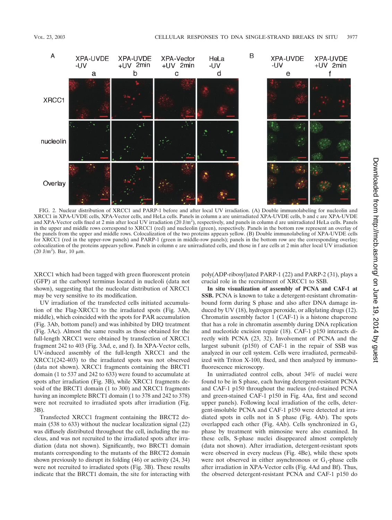

FIG. 2. Nuclear distribution of XRCC1 and PARP-1 before and after local UV irradiation. (A) Double immunolabeling for nucleolin and XRCC1 in XPA-UVDE cells, XPA-Vector cells, and HeLa cells. Panels in column a are unirradiated XPA-UVDE cells, b and c are XPA-UVDE and XPA-Vector cells fixed at 2 min after local UV irradiation (20 J/m<sup>2</sup>), respectively, and panels in column d are unirradiated HeLa cells. Panels in the upper and middle rows correspond to XRCC1 (red) and nucleolin (green), respectively. Panels in the bottom row represent an overlay of the panels from the upper and middle rows. Colocalization of the two proteins appears yellow. (B) Double immunolabeling of XPA-UVDE cells for XRCC1 (red in the upper-row panels) and PARP-1 (green in middle-row panels); panels in the bottom row are the corresponding overlay; colocalization of the proteins appears yellow. Panels in column e are unirradiated cells, and those in f are cells at 2 min after local UV irradiation  $(20 \text{ J/m}^2)$ . Bar, 10  $\mu \text{m}$ .

XRCC1 which had been tagged with green fluorescent protein (GFP) at the carboxyl terminus located in nucleoli (data not shown), suggesting that the nucleolar distribution of XRCC1 may be very sensitive to its modification.

UV irradiation of the transfected cells initiated accumulation of the Flag-XRCC1 to the irradiated spots (Fig. 3Ab, middle), which coincided with the spots for PAR accumulation (Fig. 3Ab, bottom panel) and was inhibited by DIQ treatment (Fig. 3Ac). Almost the same results as those obtained for the full-length XRCC1 were obtained by transfection of XRCC1 fragment 242 to 403 (Fig. 3Ad, e, and f). In XPA-Vector cells, UV-induced assembly of the full-length XRCC1 and the XRCC1(242-403) to the irradiated spots was not observed (data not shown). XRCC1 fragments containing the BRCT1 domain (1 to 537 and 242 to 633) were found to accumulate at spots after irradiation (Fig. 3B), while XRCC1 fragments devoid of the BRCT1 domain (1 to 300) and XRCC1 fragments having an incomplete BRCT1 domain (1 to 378 and 242 to 378) were not recruited to irradiated spots after irradiation (Fig. 3B).

Transfected XRCC1 fragment containing the BRCT2 domain (538 to 633) without the nuclear localization signal (22) was diffusely distributed throughout the cell, including the nucleus, and was not recruited to the irradiated spots after irradiation (data not shown). Significantly, two BRCT1 domain mutants corresponding to the mutants of the BRCT2 domain shown previously to disrupt its folding (46) or activity (24, 34) were not recruited to irradiated spots (Fig. 3B). These results indicate that the BRCT1 domain, the site for interacting with

poly(ADP-ribosyl)ated PARP-1 (22) and PARP-2 (31), plays a crucial role in the recruitment of XRCC1 to SSB.

**In situ visualization of assembly of PCNA and CAF-1 at SSB.** PCNA is known to take a detergent-resistant chromatinbound form during S phase and also after DNA damage induced by UV (18), hydrogen peroxide, or alkylating drugs (12). Chromatin assembly factor 1 (CAF-1) is a histone chaperone that has a role in chromatin assembly during DNA replication and nucleotide excision repair (18). CAF-1 p150 interacts directly with PCNA (23, 32). Involvement of PCNA and the largest subunit (p150) of CAF-1 in the repair of SSB was analyzed in our cell system. Cells were irradiated, permeabilized with Triton X-100, fixed, and then analyzed by immunofluorescence microscopy.

In unirradiated control cells, about 34% of nuclei were found to be in S phase, each having detergent-resistant PCNA and CAF-1 p150 throughout the nucleus (red-stained PCNA and green-stained CAF-1 p150 in Fig. 4Aa, first and second upper panels). Following local irradiation of the cells, detergent-insoluble PCNA and CAF-1 p150 were detected at irradiated spots in cells not in S phase (Fig. 4Ab). The spots overlapped each other (Fig. 4Ab). Cells synchronized in  $G_1$ phase by treatment with mimosine were also examined. In these cells, S-phase nuclei disappeared almost completely (data not shown). After irradiation, detergent-resistant spots were observed in every nucleus (Fig. 4Be), while these spots were not observed in either asynchronous or  $G_1$ -phase cells after irradiation in XPA-Vector cells (Fig. 4Ad and Bf). Thus, the observed detergent-resistant PCNA and CAF-1 p150 do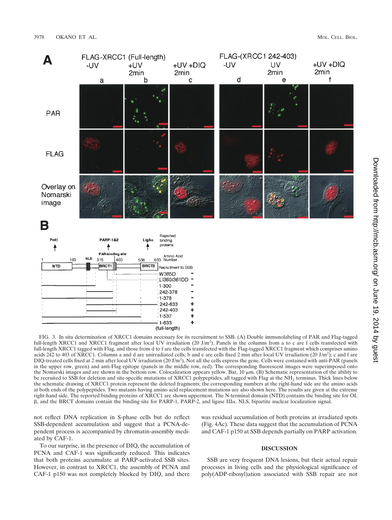

Downloaded from http://mcb.asm.org/ on June 19, 2014 by gues on June 19, 2014 by guest <http://mcb.asm.org/> Downloaded from

FIG. 3. In situ determination of XRCC1 domains necessary for its recruitment to SSB. (A) Double immunolabeling of PAR and Flag-tagged full-length XRCC1 and XRCC1 fragment after local UV irradiation (20 J/m<sup>2</sup>). Panels in the columns from a to c are f cells transfected with full-length XRCC1 tagged with Flag, and those from d to f are the cells transfected with the Flag-tagged XRCC1 fragment which comprises amino acids 242 to 403 of XRCC1. Columns a and d are unirradiated cells; b and e are cells fixed 2 min after local UV irradiation (20 J/m<sup>2</sup>); c and f are DIQ-treated cells fixed at 2 min after local UV irradiation  $(20 \text{ J/m}^2)$ . Not all the cells express the gene. Cells were costained with anti-PAR (panels in the upper row, green) and anti-Flag epitope (panels in the middle row, red). The corresponding fluorescent images were superimposed onto the Nomarski images and are shown in the bottom row. Colocalization appears yellow. Bar, 10 m. (B) Schematic representation of the ability to be recruited to SSB for deletion and site-specific mutations of XRCC1 polypeptides, all tagged with Flag at the NH<sub>2</sub> terminus. Thick lines below the schematic drawing of XRCC1 protein represent the deleted fragments; the corresponding numbers at the right-hand side are the amino acids at both ends of the polypeptides. Two mutants having amino acid replacement mutations are also shown here. The results are given at the extreme right-hand side. The reported binding proteins of XRCC1 are shown uppermost. The N-terminal domain (NTD) contains the binding site for OL β, and the BRCT domains contain the binding site for PARP-1, PARP-2, and ligase IIIα. NLS, bipartite nuclear localization signal.

not reflect DNA replication in S-phase cells but do reflect SSB-dependent accumulation and suggest that a PCNA-dependent process is accompanied by chromatin-assembly mediated by CAF-1.

(Fig. 4Ac). These data suggest that the accumulation of PCNA and CAF-1 p150 at SSB depends partially on PARP activation.

To our surprise, in the presence of DIQ, the accumulation of PCNA and CAF-1 was significantly reduced. This indicates that both proteins accumulate at PARP-activated SSB sites. However, in contrast to XRCC1, the assembly of PCNA and CAF-1 p150 was not completely blocked by DIQ, and there

#### **DISCUSSION**

was residual accumulation of both proteins at irradiated spots

SSB are very frequent DNA lesions, but their actual repair processes in living cells and the physiological significance of poly(ADP-ribosyl)ation associated with SSB repair are not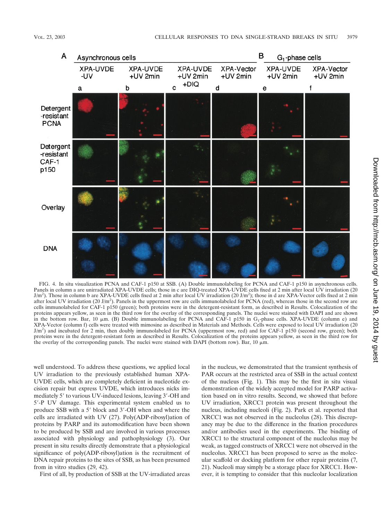

FIG. 4. In situ visualization PCNA and CAF-1 p150 at SSB. (A) Double immunolabeling for PCNA and CAF-1 p150 in asynchronous cells. Panels in column a are unirradiated XPA-UVDE cells; those in c are DIQ-treated XPA-UVDE cells fixed at 2 min after local UV irradiation (20  $J/m<sup>2</sup>$ ). Those in column b are XPA-UVDE cells fixed at 2 min after local UV irradiation (20 J/m<sup>2</sup>); those in d are XPA-Vector cells fixed at 2 min after local UV irradiation (20 J/m<sup>2</sup>). Panels in the uppermost row are cells immunolabeled for PCNA (red), whereas those in the second row are cells immunolabeled for CAF-1 p150 (green); both proteins were in the detergent-resistant form, as described in Results. Colocalization of the proteins appears yellow, as seen in the third row for the overlay of the corresponding panels. The nuclei were stained with DAPI and are shown in the bottom row. Bar, 10  $\mu$ m. (B) Double immunolabeling for PCNA and CAF-1 p150 in G<sub>1</sub>-phase cells. XPA-UVDE (column e) and XPA-Vector (column f) cells were treated with mimosine as described in Materials and Methods. Cells were exposed to local UV irradiation (20 J/m<sup>2</sup>) and incubated for 2 min, then doubly immunolabeled for PCNA (uppermost row, red) and for CAF-1 p150 (second row, green); both proteins were in the detergent-resistant form as described in Results. Colocalization of the proteins appears yellow, as seen in the third row for the overlay of the corresponding panels. The nuclei were stained with DAPI (bottom row). Bar,  $10 \mu m$ .

well understood. To address these questions, we applied local UV irradiation to the previously established human XPA-UVDE cells, which are completely deficient in nucleotide excision repair but express UVDE, which introduces nicks immediately 5' to various UV-induced lesions, leaving 3'-OH and 5-P UV damage. This experimental system enabled us to produce SSB with a 5' block and 3'-OH when and where the cells are irradiated with UV (27). Poly(ADP-ribosyl)ation of proteins by PARP and its automodification have been shown to be produced by SSB and are involved in various processes associated with physiology and pathophysiology (3). Our present in situ results directly demonstrate that a physiological significance of poly(ADP-ribosyl)ation is the recruitment of DNA repair proteins to the sites of SSB, as has been presumed from in vitro studies (29, 42).

First of all, by production of SSB at the UV-irradiated areas

in the nucleus, we demonstrated that the transient synthesis of PAR occurs at the restricted area of SSB in the actual context of the nucleus (Fig. 1). This may be the first in situ visual demonstration of the widely accepted model for PARP activation based on in vitro results. Second, we showed that before UV irradiation, XRCC1 protein was present throughout the nucleus, including nucleoli (Fig. 2). Park et al. reported that XRCC1 was not observed in the nucleolus (28). This discrepancy may be due to the difference in the fixation procedures and/or antibodies used in the experiments. The binding of XRCC1 to the structural component of the nucleolus may be weak, as tagged constructs of XRCC1 were not observed in the nucleolus. XRCC1 has been proposed to serve as the molecular scaffold or docking platform for other repair proteins (7, 21). Nucleoli may simply be a storage place for XRCC1. However, it is tempting to consider that this nucleolar localization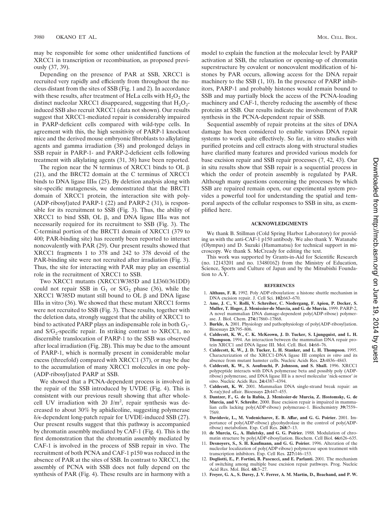may be responsible for some other unidentified functions of XRCC1 in transcription or recombination, as proposed previously (37, 39).

Depending on the presence of PAR at SSB, XRCC1 is recruited very rapidly and efficiently from throughout the nucleus distant from the sites of SSB (Fig. 1 and 2). In accordance with these results, after treatment of HeLa cells with  $H_2O_2$  the distinct nucleolar XRCC1 disappeared, suggesting that  $H_2O_2$ induced SSB also recruit XRCC1 (data not shown). Our results suggest that XRCC1-mediated repair is considerably impaired in PARP-deficient cells compared with wild-type cells. In agreement with this, the high sensitivity of PARP-1 knockout mice and the derived mouse embryonic fibroblasts to alkylating agents and gamma irradiation (38) and prolonged delays in SSB repair in PARP-1- and PARP-2-deficient cells following treatment with alkylating agents (31, 38) have been reported.

The region near the N terminus of XRCC1 binds to OL  $\beta$ (21), and the BRCT2 domain at the C terminus of XRCC1 binds to DNA ligase III $\alpha$  (25). By deletion analysis along with site-specific mutagenesis, we demonstrated that the BRCT1 domain of XRCC1 protein, the interaction site with poly- (ADP-ribosyl)ated PARP-1 (22) and PARP-2 (31), is responsible for its recruitment to SSB (Fig. 3). Thus, the ability of  $XRCC1$  to bind SSB, OL  $\beta$ , and DNA ligase III $\alpha$  was not necessarily required for its recruitment to SSB (Fig. 3). The C-terminal portion of the BRCT1 domain of XRCC1 (379 to 400; PAR-binding site) has recently been reported to interact noncovalently with PAR (29). Our present results showed that XRCC1 fragments 1 to 378 and 242 to 378 devoid of the PAR-binding site were not recruited after irradiation (Fig. 3). Thus, the site for interacting with PAR may play an essential role in the recruitment of XRCC1 to SSB.

Two XRCC1 mutants (XRCC1W385D and LI360/361DD) could not repair SSB in  $G_1$  or  $S/G_2$  phase (36), while the  $XRCC1$  W385D mutant still bound to OL  $\beta$  and DNA ligase III $α$  in vitro (36). We showed that these mutant XRCC1 forms were not recruited to SSB (Fig. 3). These results, together with the deletion data, strongly suggest that the ability of XRCC1 to bind to activated PARP plays an indispensable role in both  $G_1$ and  $S/G_2$ -specific repair. In striking contrast to XRCC1, no discernible translocation of PARP-1 to the SSB was observed after local irradiation (Fig. 2B). This may be due to the amount of PARP-1, which is normally present in considerable molar excess (threefold) compared with XRCC1 (37), or may be due to the accumulation of many XRCC1 molecules in one poly- (ADP-ribosyl)ated PARP at SSB.

We showed that a PCNA-dependent process is involved in the repair of the SSB introduced by UVDE (Fig. 4). This is consistent with our previous result showing that after wholecell UV irradiation with 20  $J/m^2$ , repair synthesis was decreased to about 30% by aphidicoline, suggesting polymerase  $\delta$ / $\epsilon$ -dependent long-patch repair for UVDE-induced SSB (27). Our present results suggest that this pathway is accompanied by chromatin assembly mediated by CAF-1 (Fig. 4). This is the first demonstration that the chromatin assembly mediated by CAF-1 is involved in the process of SSB repair in vivo. The recruitment of both PCNA and CAF-1 p150 was reduced in the absence of PAR at the sites of SSB. In contrast to XRCC1, the assembly of PCNA with SSB does not fully depend on the synthesis of PAR (Fig. 4). These results are in harmony with a model to explain the function at the molecular level: by PARP activation at SSB, the relaxation or opening-up of chromatin superstructure by covalent or noncovalent modification of histones by PAR occurs, allowing access for the DNA repair machinery to the SSB (1, 10). In the presence of PARP inhibitors, PARP-1 and probably histones would remain bound to SSB and may partially block the access of the PCNA-loading machinery and CAF-1, thereby reducing the assembly of these proteins at SSB. Our results indicate the involvement of PAR synthesis in the PCNA-dependent repair of SSB.

Sequential assembly of repair proteins at the sites of DNA damage has been considered to enable various DNA repair systems to work quite effectively. So far, in vitro studies with purified proteins and cell extracts along with structural studies have clarified many features and provided various models for base excision repair and SSB repair processes (7, 42, 43). Our in situ results show that SSB repair is a sequential process in which the order of protein assembly is regulated by PAR. Although many questions concerning the processes by which SSB are repaired remain open, our experimental system provides a powerful tool for understanding the spatial and temporal aspects of the cellular responses to SSB in situ, as exemplified here.

#### **ACKNOWLEDGMENTS**

We thank B. Stillman (Cold Spring Harbor Laboratory) for providing us with the anti-CAF-1 p150 antibody. We also thank Y. Watanabe (Olympus) and D. Suzuki (Hamamatsu) for technical support in microscopy. We thank S. McCready for editing the text.

This work was supported by Grants-in-Aid for Scientific Research (no. 12143201 and no. 13480162) from the Ministry of Education, Science, Sports and Culture of Japan and by the Mitsubishi Foundation to A.Y.

#### **REFERENCES**

- 1. **Althaus, F. R.** 1992. Poly ADP-ribosylation: a histone shuttle mechanism in DNA excision repair. J. Cell Sci. **102:**663–670.
- 2. **Ame, J. C., V. Rolli, V. Schreiber, C. Niedergang, F. Apiou, P. Decker, S. Muller, T. Hoger, J. Menissier-de Murcia, and G. de Murcia.** 1999. PARP-2, A novel mammalian DNA damage-dependent poly(ADP-ribose) polymerase. J. Biol. Chem. **274:**17860–17868.
- 3. **Burkle, A.** 2001. Physiology and pathophysiology of poly(ADP-ribosyl)ation. Bioessays **23:**795–806.
- 4. **Caldecott, K. W., C. K. McKeown, J. D. Tucker, S. Ljungquist, and L. H. Thompson.** 1994. An interaction between the mammalian DNA repair protein XRCC1 and DNA ligase III. Mol. Cell. Biol. **14:**68–76.
- 5. **Caldecott, K. W., J. D. Tucker, L. H. Stanker, and L. H. Thompson.** 1995. Characterization of the XRCC1-DNA ligase III complex *in vitro* and its absence from mutant hamster cells. Nucleic Acids Res. **23:**4836–4843.
- 6. **Caldecott, K. W., S. Aoufouchi, P. Johnson, and S. Shall.** 1996. XRCC1 polypeptide interacts with DNA polymerase beta and possibly poly (ADPribose) polymerase, and DNA ligase III is a novel molecular 'nick-sensor' in *vitro*. Nucleic Acids Res. **24:**4387–4394.
- 7. **Caldecott, K. W.** 2001. Mammalian DNA single-strand break repair: an X-ra(y)ted affair. Bioessays **23:**447–455.
- 8. **Dantzer, F., G. de la Rubia, J. Menissier-de Murcia, Z. Hostomsky, G. de Murcia, and V. Schreibr.** 2000. Base excision repair is impaired in mammalian cells lacking poly(ADP-ribose) polymerase-1. Biochemistry **39:**7559– 7569.
- 9. **Davidovic, L., M. Vodenicharov, E. B. Affar, and G. G. Poirier.** 2001. Importance of poly(ADP-ribose) glycohydrolase in the control of poly(ADPribose) metabolism. Exp. Cell Res. **268:**7–13.
- 10. **de Murcia, G., A. Huletsky, and G. G. Poirier.** 1988. Modulation of chromatin structure by poly(ADP-ribosyl)ation. Biochem. Cell Biol. **66:**626–635.
- 11. **Desnoyers, S., S. H. Kaufmann, and G. G. Poirier.** 1996. Alteration of the nucleolar localization of poly(ADP-ribose) polymerase upon treatment with transcription inhibitors. Exp. Cell Res. **227:**146–153.
- 12. **Dogliotti, E., P. Fortini, B. Pascucci, and E. Parlanti.** 2001. The mechanism of switching among multiple base excision repair pathways. Prog. Nucleic Acid Res. Mol. Biol. **68:**3–27.
- 13. **Freyer, G. A., S. Davey, J. V. Ferrer, A. M. Martin, D., Beachand, and P. W.**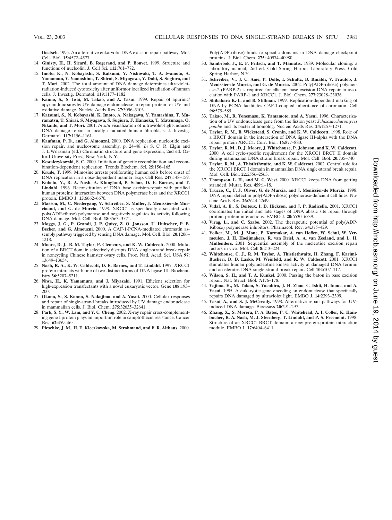**Doetsch.** 1995. An alternative eukaryotic DNA excision repair pathway. Mol. Cell. Biol. **15:**4572–4577.

- 14. **Ginisty, H., H. Sicard, B. Rogerand, and P. Bouvet.** 1999. Structure and functions of nucleolin. J. Cell Sci. **112:**761–772.
- 15. **Imoto, K., N. Kobayashi, S. Katsumi, Y. Nishiwaki, T. A. Iwamoto, A. Yamamoto, Y. Yamashina, T. Shirai, S. Miyagawa, Y. Dohi, S. Sugiura, and T. Mori.** 2002. The total amount of DNA damage determines ultravioletradiation-induced cytotoxicity after uniformor localized irradiation of human cells. J. Investig. Dermatol. **119:**1177–1182.
- 16. **Kanno, S., S. Iwai, M. Takao, and A. Yasui.** 1999. Repair of apurinic/ apyrimidinic sites by UV damage endonuclease; a repair protein for UV and oxidative damage. Nucleic Acids Res. **27:**3096–3103.
- 17. **Katsumi, S., N. Kobayashi, K. Imoto, A. Nakagawa, Y. Yamashina, T. Muramatsu, T. Shirai, S. Miyagawa, S. Sugiura, F. Hanaoka, T. Matsunaga, O. Nikaido, and T. Mori.** 2001. *In situ* visualization of ultraviolet-light-induced DNA damage repair in locally irradiated human fibroblasts. J. Investig. Dermatol. **117:**1156–1161.
- 18. **Kaufman, P. D., and G. Almouzni.** 2000. DNA replication, nucleotide excision repair, and nucleosome assembly, p. 24–48. *In* S. C. R. Elgin and J. L.Workman (ed.) Chromatin structure and gene expression, 2nd ed. Oxford University Press, New York, N.Y.
- 19. **Kowalczykowski, S. C.** 2000. Initiation of genetic recombination and recombination-dependent replication. Trends Biochem. Sci. **25:**156–165.
- 20. **Krude, T.** 1999. Mimosine arrests proliferating human cells before onset of DNA replication in a dose-dependent manner. Exp. Cell Res. **247:**148–159.
- 21. **Kubota, Y., R. A. Nash, A. Klungland, P. Schar, D. E. Barnes, and T. Lindahl.** 1996. Reconstitution of DNA base excision-repair with purified human proteins: interaction between DNA polymerase beta and the XRCC1 protein. EMBO J. **15:**6662–6670.
- 22. **Masson, M., C. Niedergang, V. Schreiber, S. Muller, J. Menissier-de Murciaand, and G. de Murcia.** 1998. XRCC1 is specifically associated with poly(ADP-ribose) polymerase and negatively regulates its activity following DNA damage. Mol. Cell. Biol. **18:**3563–3571.
- 23. **Moggs, J. G., P. Grandi, J. P. Quivy, Z. O. Jonsson, U. Hubscher, P. B. Becker, and G. Almouzni.** 2000. A CAF-1-PCNA-mediated chromatin assembly pathway triggered by sensing DNA damage. Mol. Cell. Biol. **20:**1206– 1218.
- 24. **Moore, D. J., R. M. Taylor, P. Clements, and K. W. Caldecott.** 2000. Mutation of a BRCT domain selectively disrupts DNA single-strand break repair in noncycling Chinese hamster ovary cells. Proc. Natl. Acad. Sci. USA **97:** 13649–13654.
- 25. **Nash, R. A., K. W. Caldecott, D. E. Barnes, and T. Lindahl.** 1997. XRCC1 protein interacts with one of two distinct forms of DNA ligase III. Biochemistry **36:**5207–5211.
- 26. **Niwa, H., K. Yamamura, and J. Miyazaki.** 1991. Efficient selection for high-expression transfectants with a novel eukaryotic vector. Gene **108:**193– 200.
- 27. **Okano, S., S. Kanno, S. Nakajima, and A. Yasui.** 2000. Cellular responses and repair of single-strand breaks introduced by UV damage endonuclease in mammalian cells. J. Biol. Chem. **275:**32635–32641.
- 28. **Park, S. Y., W. Lam, and Y. C. Cheng.** 2002. X-ray repair cross-complementing gene I protein plays an important role in camptothecin resistance. Cancer Res. **62:**459–465.
- 29. **Pleschke, J. M., H. E. Kleczkowska, M. Strohmand, and F. R. Althaus.** 2000.

Poly(ADP-ribose) binds to specific domains in DNA damage checkpoint proteins. J. Biol. Chem. **275:** 40974–40980.

- 30. **Sambrook, J., E. F. Fritsch, and T. Maniatis.** 1989. Molecular cloning: a laboratory manual, 2nd ed. Cold Spring Harbor Laboratory Press, Cold Spring Harbor, N.Y.
- 31. **Schreiber, V., J. C. Ame, P. Dolle, I. Schultz, B. Rinaldi, V. Fraulob, J. Menissier-de Murcia, and G. de Murcia.** 2002. Poly(ADP-ribose) polymerase-2 (PARP-2) is required for efficient base excision DNA repair in association with PARP-1 and XRCC1. J. Biol. Chem. **277:**23028–23036.
- 32. **Shibahara K.-I., and B. Stillman.** 1999. Replication-dependent marking of DNA by PCNA facilitates CAF-1-coupled inheritance of chromatin. Cell **96:**575–585.
- 33. **Takao, M., R. Yonemasu, K. Yamamoto, and A. Yasui.** 1996. Characterization of a UV endonuclease gene from the fission yeast *Schizosaccharomyces pombe* and its bacterial homolog. Nucleic Acids Res. **24:**1267–1271.
- 34. **Taylor, R. M., B. Wickstead, S. Cronin, and K. W. Caldecott.** 1998. Role of a BRCT domain in the interaction of DNA ligase III-alpha with the DNA repair protein XRCC1. Curr. Biol. **16:**877–880.
- 35. **Taylor, R. M., D. J. Moore, J. Whitehouse, P. Johnson, and K. W. Caldecott.** 2000. A cell cycle-specific requirement for the XRCC1 BRCT II domain during mammalian DNA strand break repair. Mol. Cell. Biol. **20:**735–740.
- 36. **Taylor, R. M., A. Thistlethwaite, and K. W. Caldecott.** 2002. Central role for the XRCC1 BRCT I domain in mammalian DNA single-strand break repair. Mol. Cell. Biol. **22:**2556–2563.
- 37. **Thompson, L. H., and M. G. West.** 2000. XRCC1 keeps DNA from getting stranded. Mutat. Res. **459:**1–18.
- 38. **Trucco, C., F. J. Oliver, G. de Murcia, and J. Menissier-de Murcia.** 1998. DNA repair defect in poly(ADP-ribose) polymerase-deficient cell lines. Nucleic Acids Res. **26:**2644–2649.
- 39. **Vidal, A. E., S. Boiteux, I. D. Hickson, and J. P. Radicella.** 2001. XRCC1 coordinates the initial and late stages of DNA abasic site repair through protein-protein interactions. EMBO J. **20:**6530–6539.
- 40. **Virag, L., and C. Szabo.** 2002. The therapeutic potential of poly(ADP-Ribose) polymerase inhibitors. Pharmacol. Rev. **54:**375–429.
- 41. **Volker, M., M. J. Mone, P. Karmakar, A. van Hoffen, W. Schul, W. Vermeulen, J. H. Hoeijmakers, R. van Driel, A. A. van Zeeland, and L. H. Mullenders.** 2001. Sequential assembly of the nucleotide excision repair factors in vivo. Mol. Cell **8:**213–224.
- 42. **Whitehouse, C. J., R. M. Taylor, A. Thistlethwaite, H. Zhang, F. Karimi-Busheri, D. D. Lasko, M. Weinfeld, and K. W. Caldecott.** 2001. XRCC1 stimulates human polynucleotide kinase activity at damaged DNA termini and accelerates DNA single-strand break repair. Cell **104:**107–117.
- 43. **Wilson, S. H., and T. A. Kunkel.** 2000. Passing the baton in base excision repair. Nat. Struct. Biol. **7:**176–178.
- 44. **Yajima, H., M. Takao, S. Yasuhira, J. H. Zhao, C. Ishii, H. Inoue, and A. Yasui.** 1995. A eukaryotic gene encoding an endonuclease that specifically repairs DNA damaged by ultraviolet light. EMBO J. **14:**2393–2399.
- 45. **Yasui, A., and S. J. McCready.** 1998. Alternative repair pathways for UVinduced DNA damage. Bioessays **20:**291–297.
- 46. **Zhang, X., S. Morera, P. A. Bates, P. C. Whitehead, A. I. Coffer, K. Hainbucher, R. A. Nash, M. J. Sternberg, T. Lindahl, and P. S. Freemont.** 1998. Structure of an XRCC1 BRCT domain: a new protein-protein interaction module. EMBO J. **17:**6404–6411.